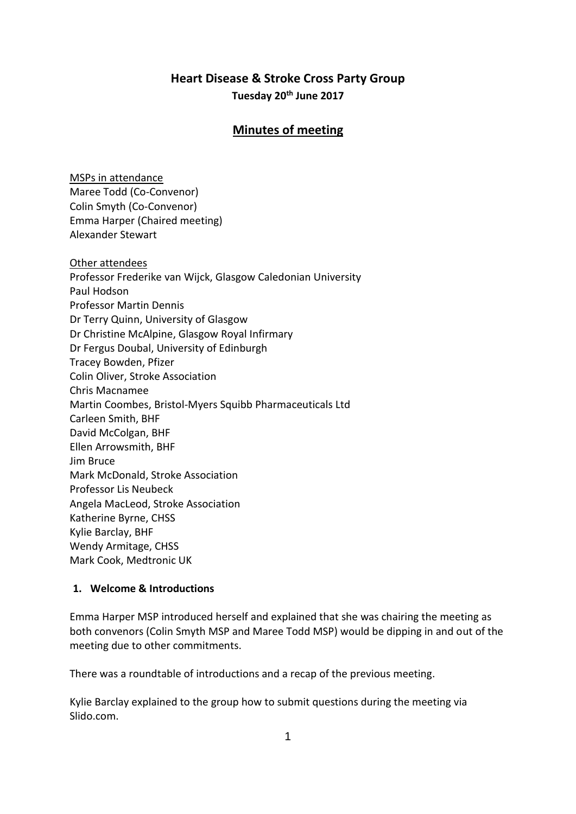## **Heart Disease & Stroke Cross Party Group Tuesday 20th June 2017**

# **Minutes of meeting**

MSPs in attendance Maree Todd (Co-Convenor) Colin Smyth (Co-Convenor) Emma Harper (Chaired meeting) Alexander Stewart

#### Other attendees

Professor Frederike van Wijck, Glasgow Caledonian University Paul Hodson Professor Martin Dennis Dr Terry Quinn, University of Glasgow Dr Christine McAlpine, Glasgow Royal Infirmary Dr Fergus Doubal, University of Edinburgh Tracey Bowden, Pfizer Colin Oliver, Stroke Association Chris Macnamee Martin Coombes, Bristol-Myers Squibb Pharmaceuticals Ltd Carleen Smith, BHF David McColgan, BHF Ellen Arrowsmith, BHF Jim Bruce Mark McDonald, Stroke Association Professor Lis Neubeck Angela MacLeod, Stroke Association Katherine Byrne, CHSS Kylie Barclay, BHF Wendy Armitage, CHSS Mark Cook, Medtronic UK

### **1. Welcome & Introductions**

Emma Harper MSP introduced herself and explained that she was chairing the meeting as both convenors (Colin Smyth MSP and Maree Todd MSP) would be dipping in and out of the meeting due to other commitments.

There was a roundtable of introductions and a recap of the previous meeting.

Kylie Barclay explained to the group how to submit questions during the meeting via Slido.com.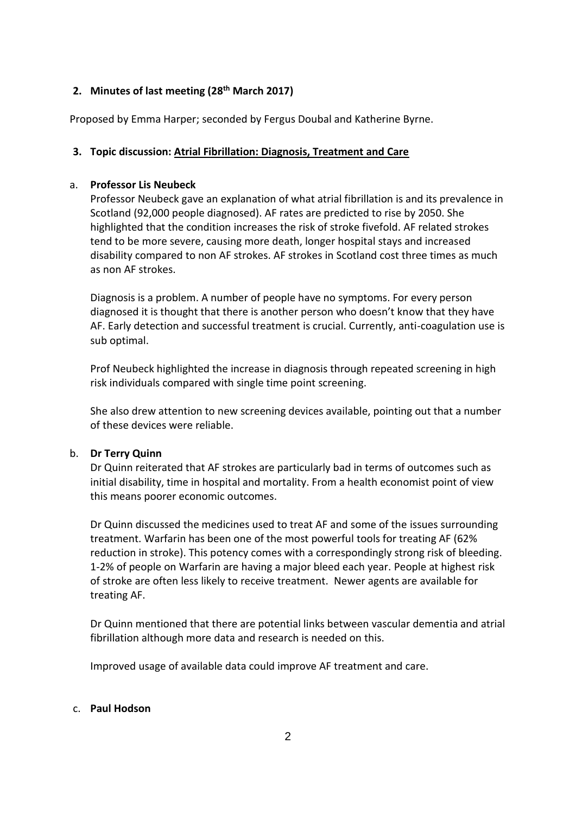### **2. Minutes of last meeting (28 th March 2017)**

Proposed by Emma Harper; seconded by Fergus Doubal and Katherine Byrne.

### **3. Topic discussion: Atrial Fibrillation: Diagnosis, Treatment and Care**

#### a. **Professor Lis Neubeck**

Professor Neubeck gave an explanation of what atrial fibrillation is and its prevalence in Scotland (92,000 people diagnosed). AF rates are predicted to rise by 2050. She highlighted that the condition increases the risk of stroke fivefold. AF related strokes tend to be more severe, causing more death, longer hospital stays and increased disability compared to non AF strokes. AF strokes in Scotland cost three times as much as non AF strokes.

Diagnosis is a problem. A number of people have no symptoms. For every person diagnosed it is thought that there is another person who doesn't know that they have AF. Early detection and successful treatment is crucial. Currently, anti-coagulation use is sub optimal.

Prof Neubeck highlighted the increase in diagnosis through repeated screening in high risk individuals compared with single time point screening.

She also drew attention to new screening devices available, pointing out that a number of these devices were reliable.

#### b. **Dr Terry Quinn**

Dr Quinn reiterated that AF strokes are particularly bad in terms of outcomes such as initial disability, time in hospital and mortality. From a health economist point of view this means poorer economic outcomes.

Dr Quinn discussed the medicines used to treat AF and some of the issues surrounding treatment. Warfarin has been one of the most powerful tools for treating AF (62% reduction in stroke). This potency comes with a correspondingly strong risk of bleeding. 1-2% of people on Warfarin are having a major bleed each year. People at highest risk of stroke are often less likely to receive treatment. Newer agents are available for treating AF.

Dr Quinn mentioned that there are potential links between vascular dementia and atrial fibrillation although more data and research is needed on this.

Improved usage of available data could improve AF treatment and care.

#### c. **Paul Hodson**